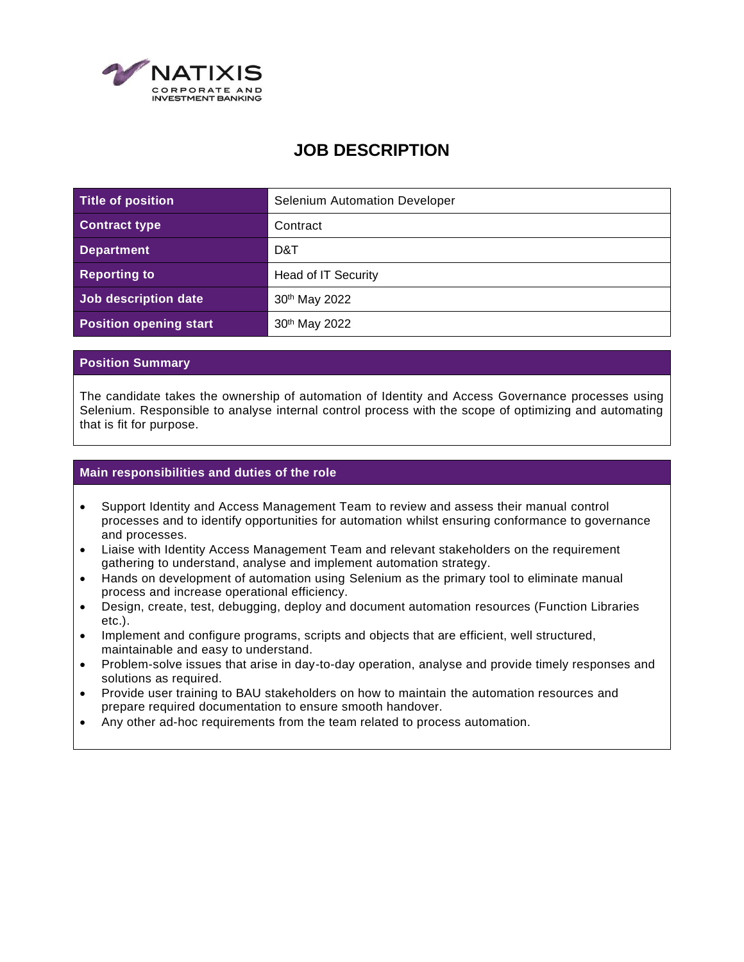

## **JOB DESCRIPTION**

| Title of position             | <b>Selenium Automation Developer</b> |
|-------------------------------|--------------------------------------|
| <b>Contract type</b>          | Contract                             |
| <b>Department</b>             | D&T                                  |
| <b>Reporting to</b>           | Head of IT Security                  |
| Job description date          | 30 <sup>th</sup> May 2022            |
| <b>Position opening start</b> | 30th May 2022                        |

## **Position Summary**

The candidate takes the ownership of automation of Identity and Access Governance processes using Selenium. Responsible to analyse internal control process with the scope of optimizing and automating that is fit for purpose.

## **Main responsibilities and duties of the role**

- Support Identity and Access Management Team to review and assess their manual control processes and to identify opportunities for automation whilst ensuring conformance to governance and processes.
- Liaise with Identity Access Management Team and relevant stakeholders on the requirement gathering to understand, analyse and implement automation strategy.
- Hands on development of automation using Selenium as the primary tool to eliminate manual process and increase operational efficiency.
- Design, create, test, debugging, deploy and document automation resources (Function Libraries etc.).
- Implement and configure programs, scripts and objects that are efficient, well structured, maintainable and easy to understand.
- Problem-solve issues that arise in day-to-day operation, analyse and provide timely responses and solutions as required.
- Provide user training to BAU stakeholders on how to maintain the automation resources and prepare required documentation to ensure smooth handover.
- Any other ad-hoc requirements from the team related to process automation.